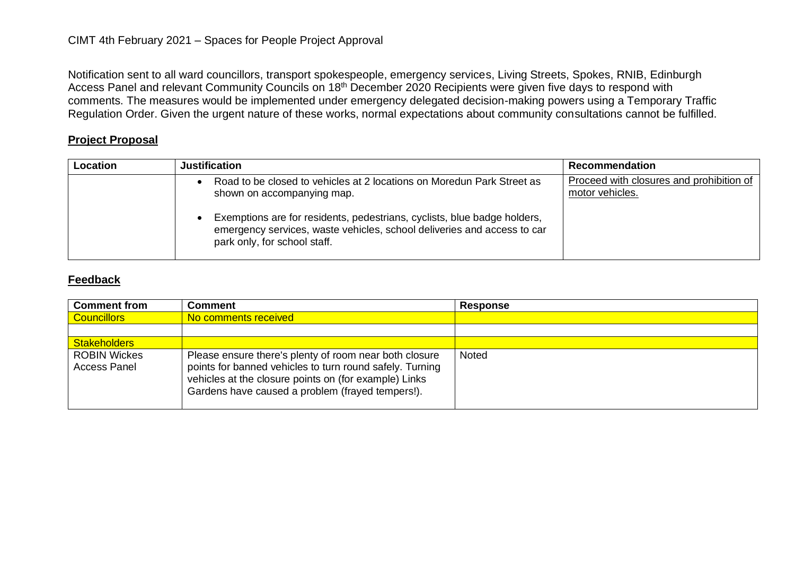Notification sent to all ward councillors, transport spokespeople, emergency services, Living Streets, Spokes, RNIB, Edinburgh Access Panel and relevant Community Councils on 18<sup>th</sup> December 2020 Recipients were given five days to respond with comments. The measures would be implemented under emergency delegated decision-making powers using a Temporary Traffic Regulation Order. Given the urgent nature of these works, normal expectations about community consultations cannot be fulfilled.

## **Project Proposal**

| Location | Justification                                                                                                                                                                                                                                                                               | Recommendation                                              |
|----------|---------------------------------------------------------------------------------------------------------------------------------------------------------------------------------------------------------------------------------------------------------------------------------------------|-------------------------------------------------------------|
|          | Road to be closed to vehicles at 2 locations on Moredun Park Street as<br>shown on accompanying map.<br>Exemptions are for residents, pedestrians, cyclists, blue badge holders,<br>emergency services, waste vehicles, school deliveries and access to car<br>park only, for school staff. | Proceed with closures and prohibition of<br>motor vehicles. |

## **Feedback**

| <b>Comment from</b>                 | <b>Comment</b>                                                                                                                                                                                                                  | <b>Response</b> |
|-------------------------------------|---------------------------------------------------------------------------------------------------------------------------------------------------------------------------------------------------------------------------------|-----------------|
| <b>Councillors</b>                  | No comments received                                                                                                                                                                                                            |                 |
|                                     |                                                                                                                                                                                                                                 |                 |
| <b>Stakeholders</b>                 |                                                                                                                                                                                                                                 |                 |
| <b>ROBIN Wickes</b><br>Access Panel | Please ensure there's plenty of room near both closure<br>points for banned vehicles to turn round safely. Turning<br>vehicles at the closure points on (for example) Links<br>Gardens have caused a problem (frayed tempers!). | <b>Noted</b>    |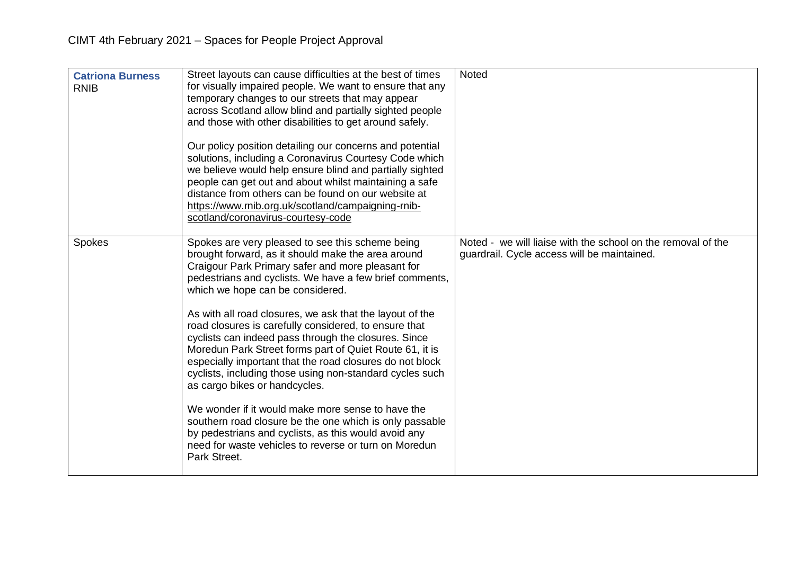| <b>Catriona Burness</b><br><b>RNIB</b> | Street layouts can cause difficulties at the best of times<br>for visually impaired people. We want to ensure that any<br>temporary changes to our streets that may appear<br>across Scotland allow blind and partially sighted people<br>and those with other disabilities to get around safely.<br>Our policy position detailing our concerns and potential<br>solutions, including a Coronavirus Courtesy Code which<br>we believe would help ensure blind and partially sighted<br>people can get out and about whilst maintaining a safe<br>distance from others can be found on our website at<br>https://www.rnib.org.uk/scotland/campaigning-rnib-<br>scotland/coronavirus-courtesy-code                                                                                                                                                                                                             | <b>Noted</b>                                                                                                |
|----------------------------------------|--------------------------------------------------------------------------------------------------------------------------------------------------------------------------------------------------------------------------------------------------------------------------------------------------------------------------------------------------------------------------------------------------------------------------------------------------------------------------------------------------------------------------------------------------------------------------------------------------------------------------------------------------------------------------------------------------------------------------------------------------------------------------------------------------------------------------------------------------------------------------------------------------------------|-------------------------------------------------------------------------------------------------------------|
| <b>Spokes</b>                          | Spokes are very pleased to see this scheme being<br>brought forward, as it should make the area around<br>Craigour Park Primary safer and more pleasant for<br>pedestrians and cyclists. We have a few brief comments,<br>which we hope can be considered.<br>As with all road closures, we ask that the layout of the<br>road closures is carefully considered, to ensure that<br>cyclists can indeed pass through the closures. Since<br>Moredun Park Street forms part of Quiet Route 61, it is<br>especially important that the road closures do not block<br>cyclists, including those using non-standard cycles such<br>as cargo bikes or handcycles.<br>We wonder if it would make more sense to have the<br>southern road closure be the one which is only passable<br>by pedestrians and cyclists, as this would avoid any<br>need for waste vehicles to reverse or turn on Moredun<br>Park Street. | Noted - we will liaise with the school on the removal of the<br>guardrail. Cycle access will be maintained. |